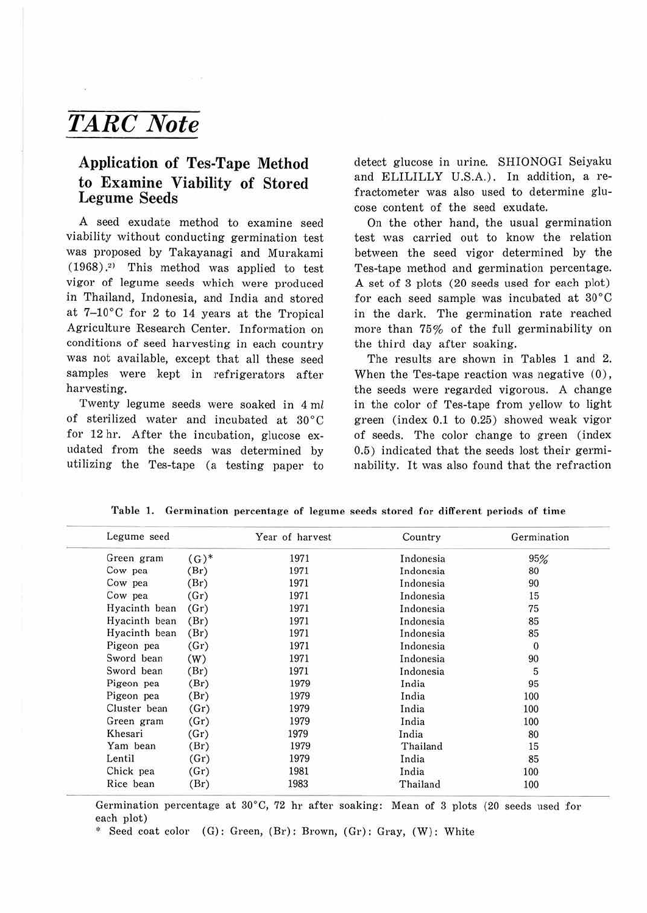## *TARC Note*

## **Application of Tes-Tape Method to Examine Viability of Stored Legume Seeds**

A seed exudate method to examine seed viability without conducting germination test was proposed by Takayanagi and Murakami (1968) . <sup>2</sup>> This method was applied to test vigor of legume seeds which were produced in Thailand, Indonesia, and India and stored at 7-10°C for 2 to 14 years at the Tropical Agriculture Research Center. Information on conditions of seed harvesting in each country was not available, except that all these seed samples were kept in refrigerators after harvesting.

Twenty legume seeds were soaked in 4 ml of sterilized water and incubated at 30°C for 12 hr. After the incubation, glucose exudated from the seeds was determined by utilizing the Tes-tape (a testing paper to detect glucose in urine. SHIONOGI Seiyaku and ELILILLY U.S.A.). In addition, a refractometer was also used to determine glucose content of the seed exudate.

On the other hand, the usual germination test was carried out to know the relation between the seed vigor determined by the Tes-tape method and germination percentage. A set of 3 plots (20 seeds used for each plot) for each seed sample was incubated at 30°C in the dark. The germination rate reached more than 75% of the full germinability on the third day after soaking.

The results are shown in Tables 1 and 2. When the Tes-tape reaction was negative (0), the seeds were regarded vigorous. A change in the color of Tes-tape from yellow to light green (index 0.1 to 0.25) showed weak vigor of seeds. The color change to green (index 0.5) indicated that the seeds lost their germinability. It was also found that the refraction

| Legume seed   |        | Year of harvest | Country   | Germination  |  |
|---------------|--------|-----------------|-----------|--------------|--|
| Green gram    | $(G)*$ | 1971            | Indonesia | 95%          |  |
| Cow pea       | (Br)   | 1971            | Indonesia | 80           |  |
| Cow pea       | (Br)   | 1971            | Indonesia | 90           |  |
| Cow pea       | (Gr)   | 1971            | Indonesia | 15           |  |
| Hyacinth bean | (Gr)   | 1971            | Indonesia | 75           |  |
| Hyacinth bean | (Br)   | 1971            | Indonesia | 85           |  |
| Hyacinth bean | (Br)   | 1971            | Indonesia | 85           |  |
| Pigeon pea    | (Gr)   | 1971            | Indonesia | $\mathbf{0}$ |  |
| Sword bean    | (W)    | 1971            | Indonesia | 90           |  |
| Sword bean    | (Br)   | 1971            | Indonesia | 5            |  |
| Pigeon pea    | (Br)   | 1979            | India     | 95           |  |
| Pigeon pea    | (Br)   | 1979            | India     | 100          |  |
| Cluster bean  | (Gr)   | 1979            | India     | 100          |  |
| Green gram    | (Gr)   | 1979            | India     | 100          |  |
| Khesari       | (Gr)   | 1979            | India     | 80           |  |
| Yam bean      | (Br)   | 1979            | Thailand  | 15           |  |
| Lentil        | (Gr)   | 1979            | India     | 85           |  |
| Chick pea     | (Gr)   | 1981            | India     | 100          |  |
| Rice bean     | (Br)   | 1983            | Thailand  | 100          |  |

Table 1. Germination percentage of legume seeds stored for different periods of time

Germination percentage at  $30^{\circ}$ C, 72 hr after soaking: Mean of 3 plots (20 seeds used for each plot)

\* Seed coat color (G): Green, (Br): Brown, (Gr): Gray, (W): White